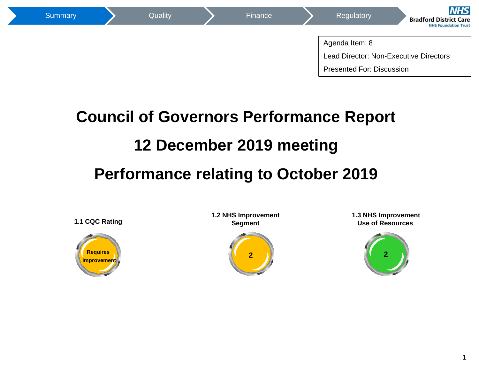

# **Council of Governors Performance Report 12 December 2019 meeting Performance relating to October 2019**



**1.2 NHS Improvement Segment**



**1.3 NHS Improvement Use of Resources** 

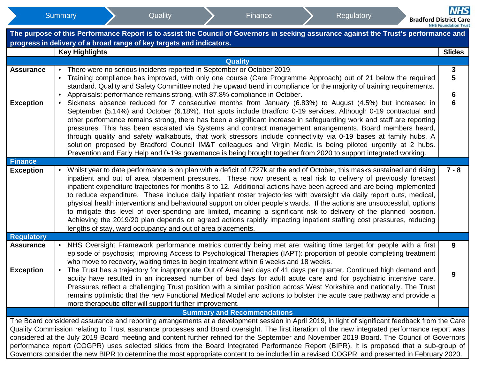|                   |                                                                                                                                                                                                                                                                                                                                                                                                                                                                         | The purpose of this Performance Report is to assist the Council of Governors in seeking assurance against the Trust's performance and<br>progress in delivery of a broad range of key targets and indicators.<br><b>Key Highlights</b>  |  |  |                                    |  |  |  | <b>Slides</b> |  |  |  |
|-------------------|-------------------------------------------------------------------------------------------------------------------------------------------------------------------------------------------------------------------------------------------------------------------------------------------------------------------------------------------------------------------------------------------------------------------------------------------------------------------------|-----------------------------------------------------------------------------------------------------------------------------------------------------------------------------------------------------------------------------------------|--|--|------------------------------------|--|--|--|---------------|--|--|--|
|                   |                                                                                                                                                                                                                                                                                                                                                                                                                                                                         |                                                                                                                                                                                                                                         |  |  | <b>Quality</b>                     |  |  |  |               |  |  |  |
| <b>Assurance</b>  |                                                                                                                                                                                                                                                                                                                                                                                                                                                                         | There were no serious incidents reported in September or October 2019.                                                                                                                                                                  |  |  |                                    |  |  |  | 3             |  |  |  |
|                   |                                                                                                                                                                                                                                                                                                                                                                                                                                                                         |                                                                                                                                                                                                                                         |  |  |                                    |  |  |  | 5             |  |  |  |
|                   |                                                                                                                                                                                                                                                                                                                                                                                                                                                                         | Training compliance has improved, with only one course (Care Programme Approach) out of 21 below the required<br>standard. Quality and Safety Committee noted the upward trend in compliance for the majority of training requirements. |  |  |                                    |  |  |  |               |  |  |  |
|                   |                                                                                                                                                                                                                                                                                                                                                                                                                                                                         | Appraisals: performance remains strong, with 87.8% compliance in October.                                                                                                                                                               |  |  |                                    |  |  |  | 6             |  |  |  |
| <b>Exception</b>  | $\bullet$                                                                                                                                                                                                                                                                                                                                                                                                                                                               | Sickness absence reduced for 7 consecutive months from January (6.83%) to August (4.5%) but increased in                                                                                                                                |  |  |                                    |  |  |  | 6             |  |  |  |
|                   | September (5.14%) and October (6.18%). Hot spots include Bradford 0-19 services. Although 0-19 contractual and<br>other performance remains strong, there has been a significant increase in safeguarding work and staff are reporting<br>pressures. This has been escalated via Systems and contract management arrangements. Board members heard,<br>through quality and safety walkabouts, that work stressors include connectivity via 0-19 bases at family hubs. A |                                                                                                                                                                                                                                         |  |  |                                    |  |  |  |               |  |  |  |
|                   |                                                                                                                                                                                                                                                                                                                                                                                                                                                                         |                                                                                                                                                                                                                                         |  |  |                                    |  |  |  |               |  |  |  |
|                   |                                                                                                                                                                                                                                                                                                                                                                                                                                                                         |                                                                                                                                                                                                                                         |  |  |                                    |  |  |  |               |  |  |  |
|                   | solution proposed by Bradford Council IM&T colleagues and Virgin Media is being piloted urgently at 2 hubs.                                                                                                                                                                                                                                                                                                                                                             |                                                                                                                                                                                                                                         |  |  |                                    |  |  |  |               |  |  |  |
|                   |                                                                                                                                                                                                                                                                                                                                                                                                                                                                         | Prevention and Early Help and 0-19s governance is being brought together from 2020 to support integrated working.                                                                                                                       |  |  |                                    |  |  |  |               |  |  |  |
| <b>Finance</b>    |                                                                                                                                                                                                                                                                                                                                                                                                                                                                         |                                                                                                                                                                                                                                         |  |  |                                    |  |  |  |               |  |  |  |
| <b>Exception</b>  |                                                                                                                                                                                                                                                                                                                                                                                                                                                                         | Whilst year to date performance is on plan with a deficit of £727k at the end of October, this masks sustained and rising                                                                                                               |  |  |                                    |  |  |  | $7 - 8$       |  |  |  |
|                   |                                                                                                                                                                                                                                                                                                                                                                                                                                                                         | inpatient and out of area placement pressures. These now present a real risk to delivery of previously forecast<br>inpatient expenditure trajectories for months 8 to 12. Additional actions have been agreed and are being implemented |  |  |                                    |  |  |  |               |  |  |  |
|                   |                                                                                                                                                                                                                                                                                                                                                                                                                                                                         | to reduce expenditure. These include daily inpatient roster trajectories with oversight via daily report outs, medical,                                                                                                                 |  |  |                                    |  |  |  |               |  |  |  |
|                   |                                                                                                                                                                                                                                                                                                                                                                                                                                                                         | physical health interventions and behavioural support on older people's wards. If the actions are unsuccessful, options                                                                                                                 |  |  |                                    |  |  |  |               |  |  |  |
|                   |                                                                                                                                                                                                                                                                                                                                                                                                                                                                         | to mitigate this level of over-spending are limited, meaning a significant risk to delivery of the planned position.                                                                                                                    |  |  |                                    |  |  |  |               |  |  |  |
|                   |                                                                                                                                                                                                                                                                                                                                                                                                                                                                         | Achieving the 2019/20 plan depends on agreed actions rapidly impacting inpatient staffing cost pressures, reducing                                                                                                                      |  |  |                                    |  |  |  |               |  |  |  |
|                   |                                                                                                                                                                                                                                                                                                                                                                                                                                                                         | lengths of stay, ward occupancy and out of area placements.                                                                                                                                                                             |  |  |                                    |  |  |  |               |  |  |  |
| <b>Regulatory</b> |                                                                                                                                                                                                                                                                                                                                                                                                                                                                         |                                                                                                                                                                                                                                         |  |  |                                    |  |  |  |               |  |  |  |
| <b>Assurance</b>  |                                                                                                                                                                                                                                                                                                                                                                                                                                                                         | NHS Oversight Framework performance metrics currently being met are: waiting time target for people with a first<br>episode of psychosis; Improving Access to Psychological Therapies (IAPT): proportion of people completing treatment |  |  |                                    |  |  |  | 9             |  |  |  |
|                   |                                                                                                                                                                                                                                                                                                                                                                                                                                                                         | who move to recovery, waiting times to begin treatment within 6 weeks and 18 weeks.                                                                                                                                                     |  |  |                                    |  |  |  |               |  |  |  |
| <b>Exception</b>  | $\bullet$                                                                                                                                                                                                                                                                                                                                                                                                                                                               | The Trust has a trajectory for inappropriate Out of Area bed days of 41 days per quarter. Continued high demand and                                                                                                                     |  |  |                                    |  |  |  |               |  |  |  |
|                   |                                                                                                                                                                                                                                                                                                                                                                                                                                                                         | acuity have resulted in an increased number of bed days for adult acute care and for psychiatric intensive care.                                                                                                                        |  |  |                                    |  |  |  | 9             |  |  |  |
|                   |                                                                                                                                                                                                                                                                                                                                                                                                                                                                         | Pressures reflect a challenging Trust position with a similar position across West Yorkshire and nationally. The Trust                                                                                                                  |  |  |                                    |  |  |  |               |  |  |  |
|                   |                                                                                                                                                                                                                                                                                                                                                                                                                                                                         | remains optimistic that the new Functional Medical Model and actions to bolster the acute care pathway and provide a                                                                                                                    |  |  |                                    |  |  |  |               |  |  |  |
|                   |                                                                                                                                                                                                                                                                                                                                                                                                                                                                         | more therapeutic offer will support further improvement.                                                                                                                                                                                |  |  |                                    |  |  |  |               |  |  |  |
|                   |                                                                                                                                                                                                                                                                                                                                                                                                                                                                         | The Board considered assurance and reporting arrangements at a development session in April 2019, in light of significant feedback from the Care                                                                                        |  |  | <b>Summary and Recommendations</b> |  |  |  |               |  |  |  |
|                   |                                                                                                                                                                                                                                                                                                                                                                                                                                                                         | Quality Commission relating to Trust assurance processes and Board oversight. The first iteration of the new integrated performance report was                                                                                          |  |  |                                    |  |  |  |               |  |  |  |
|                   |                                                                                                                                                                                                                                                                                                                                                                                                                                                                         | considered at the July 2019 Board meeting and content further refined for the September and November 2019 Board. The Council of Governors                                                                                               |  |  |                                    |  |  |  |               |  |  |  |
|                   |                                                                                                                                                                                                                                                                                                                                                                                                                                                                         | performance report (COGPR) uses selected slides from the Board Integrated Performance Report (BIPR). It is proposed that a sub-group of                                                                                                 |  |  |                                    |  |  |  |               |  |  |  |
|                   |                                                                                                                                                                                                                                                                                                                                                                                                                                                                         | Governors consider the new BIPR to determine the most appropriate content to be included in a revised COGPR and presented in February 2020.                                                                                             |  |  |                                    |  |  |  |               |  |  |  |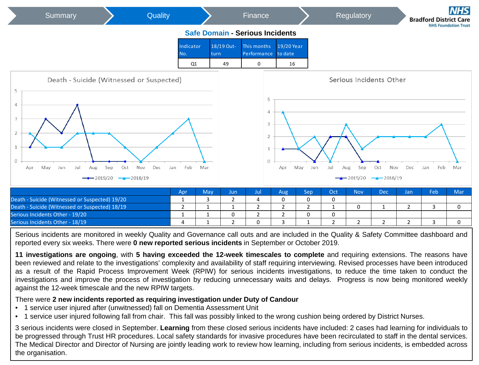

Serious incidents are monitored in weekly Quality and Governance call outs and are included in the Quality & Safety Committee dashboard and reported every six weeks. There were **0 new reported serious incidents** in September or October 2019.

**11 investigations are ongoing**, with **5 having exceeded the 12-week timescales to complete** and requiring extensions. The reasons have been reviewed and relate to the investigations' complexity and availability of staff requiring interviewing. Revised processes have been introduced as a result of the Rapid Process Improvement Week (RPIW) for serious incidents investigations, to reduce the time taken to conduct the investigations and improve the process of investigation by reducing unnecessary waits and delays. Progress is now being monitored weekly against the 12-week timescale and the new RPIW targets.

#### There were **2 new incidents reported as requiring investigation under Duty of Candour**

- 1 service user injured after (unwitnessed) fall on Dementia Assessment Unit
- 1 service user injured following fall from chair. This fall was possibly linked to the wrong cushion being ordered by District Nurses.

**3** 3 serious incidents were closed in September. **Learning** from these closed serious incidents have included: 2 cases had learning for individuals to be progressed through Trust HR procedures. Local safety standards for invasive procedures have been recirculated to staff in the dental services. The Medical Director and Director of Nursing are jointly leading work to review how learning, including from serious incidents, is embedded across the organisation.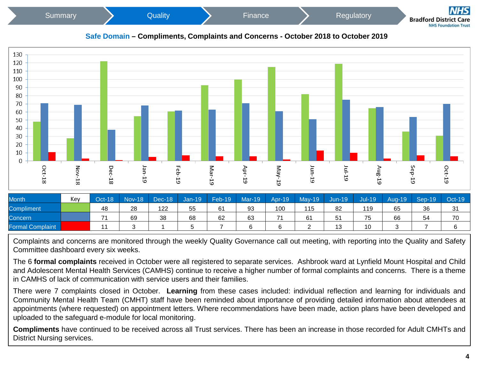





| Month                   | Key | Oct-18         | <b>Nov-18</b> | $\vert$ Dec-18 | Jan-19/ | Feb-19 | <b>Mar-19</b> | <b>Apr-19</b> | $May-19$ | Jun-19 | Jul-19 | Aug-19 | Sep-19 | Oct-19 |
|-------------------------|-----|----------------|---------------|----------------|---------|--------|---------------|---------------|----------|--------|--------|--------|--------|--------|
| <b>Compliment</b>       |     | 48             | 28            | 122            | 55      | 61     | 93            | 100           | 115      | 82     | 119    | 65     | 36     | -31    |
| Concern                 |     | $\overline{ }$ | 69            | 38             | 68      | 62     | 63            | 74            | 61       | 51     | 75     | 66     | 54     | 70     |
| <b>Formal Complaint</b> |     |                |               |                |         |        | $\sim$        |               |          | 13     | 10     |        |        |        |

Complaints and concerns are monitored through the weekly Quality Governance call out meeting, with reporting into the Quality and Safety Committee dashboard every six weeks.

The 6 **formal complaints** received in October were all registered to separate services. Ashbrook ward at Lynfield Mount Hospital and Child and Adolescent Mental Health Services (CAMHS) continue to receive a higher number of formal complaints and concerns. There is a theme in CAMHS of lack of communication with service users and their families.

There were 7 complaints closed in October. **Learning** from these cases included: individual reflection and learning for individuals and Community Mental Health Team (CMHT) staff have been reminded about importance of providing detailed information about attendees at appointments (where requested) on appointment letters. Where recommendations have been made, action plans have been developed and uploaded to the safeguard e-module for local monitoring.

**Compliments** have continued to be received across all Trust services. There has been an increase in those recorded for Adult CMHTs and District Nursing services.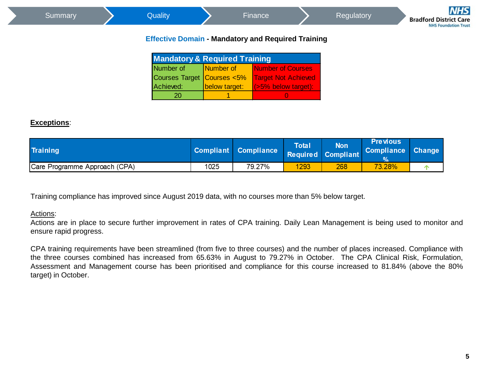|                                                           | Summary |  | Quality                                  |                  | Finance                                                              |  | Regulatory | <b>NHS</b><br><b>Bradford District Care</b><br><b>NHS Foundation Trust</b> |  |  |  |  |
|-----------------------------------------------------------|---------|--|------------------------------------------|------------------|----------------------------------------------------------------------|--|------------|----------------------------------------------------------------------------|--|--|--|--|
| <b>Effective Domain - Mandatory and Required Training</b> |         |  |                                          |                  |                                                                      |  |            |                                                                            |  |  |  |  |
|                                                           |         |  |                                          |                  |                                                                      |  |            |                                                                            |  |  |  |  |
|                                                           |         |  | Number of                                | <b>Number</b> of | Number of Courses                                                    |  |            |                                                                            |  |  |  |  |
|                                                           |         |  | <b>Mandatory &amp; Required Training</b> |                  | $C_{\alpha}$ usee Terret $C_{\alpha}$ usee $E_0$ Terret Net Aebieved |  |            |                                                                            |  |  |  |  |

| <b>Mandatory &amp; Required Training</b> |               |                                      |  |  |  |  |  |  |  |  |
|------------------------------------------|---------------|--------------------------------------|--|--|--|--|--|--|--|--|
| Number of                                | Number of     | Number of Courses                    |  |  |  |  |  |  |  |  |
| Courses Target Courses <5%               |               | <b>Target Not Achieved</b>           |  |  |  |  |  |  |  |  |
| Achieved:                                | below target: | $\sqrt{(55\% \text{ below target})}$ |  |  |  |  |  |  |  |  |
| 20                                       |               |                                      |  |  |  |  |  |  |  |  |

## **Exceptions**:

| <b>Training</b>               |      | <b>Compliant Compliance</b> | Total | <b>Non</b><br>Required Compliant | <b>Previous</b><br>Compliance Change |  |
|-------------------------------|------|-----------------------------|-------|----------------------------------|--------------------------------------|--|
| Care Programme Approach (CPA) | 1025 | 79.27%                      | 1293  | 268                              | 73.28%                               |  |

Training compliance has improved since August 2019 data, with no courses more than 5% below target.

#### Actions:

Actions are in place to secure further improvement in rates of CPA training. Daily Lean Management is being used to monitor and ensure rapid progress.

CPA training requirements have been streamlined (from five to three courses) and the number of places increased. Compliance with the three courses combined has increased from 65.63% in August to 79.27% in October. The CPA Clinical Risk, Formulation, Assessment and Management course has been prioritised and compliance for this course increased to 81.84% (above the 80% target) in October.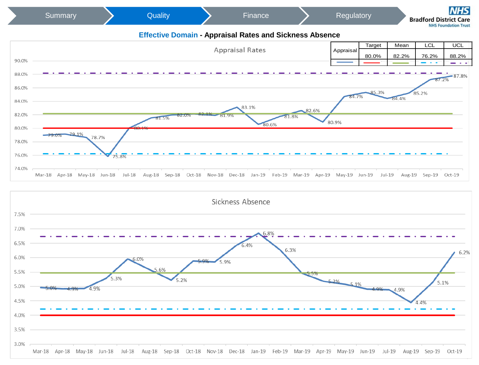

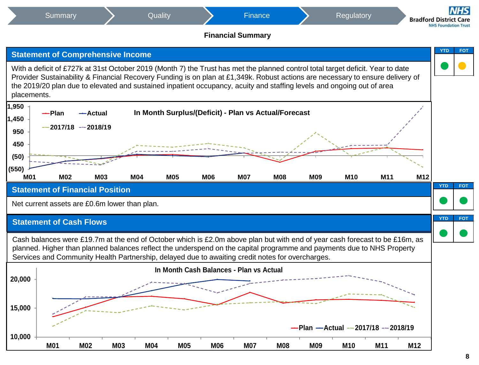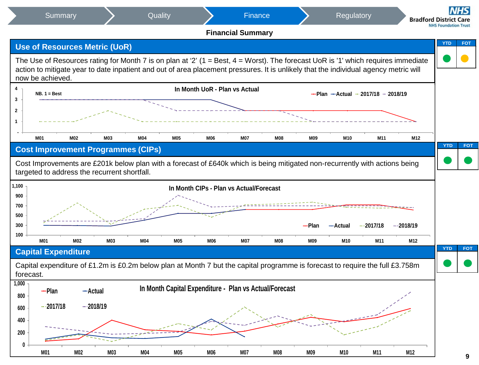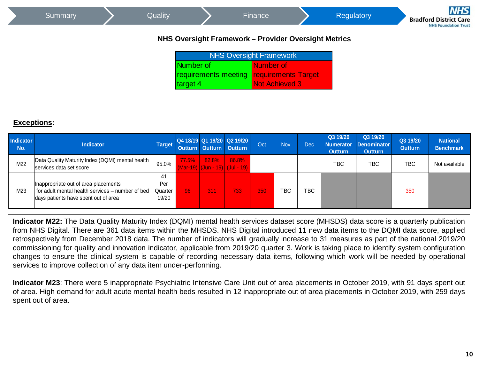| Summary | Quality   |                                | Finance                                              |  | Regulatory | <b>NHS</b><br><b>Bradford District Care</b><br><b>NHS Foundation Trust</b> |
|---------|-----------|--------------------------------|------------------------------------------------------|--|------------|----------------------------------------------------------------------------|
|         |           |                                | NHS Oversight Framework - Provider Oversight Metrics |  |            |                                                                            |
|         |           | <b>NHS Oversight Framework</b> |                                                      |  |            |                                                                            |
|         | Number of |                                | Number of                                            |  |            |                                                                            |
|         |           |                                | requirements meeting requirements Target             |  |            |                                                                            |
|         | target 4  |                                | Not Achieved 3                                       |  |            |                                                                            |
|         |           |                                |                                                      |  |            |                                                                            |

## **Exceptions:**

| <b>Indicator</b><br>No. | <b>Indicator</b>                                                                                                                 | <b>Target</b>                 |            | <b>Outturn Outturn Outturn</b> | Q4 18/19 Q1 19/20 Q2 19/20              | Oct | <b>Nov</b> | <b>Dec</b> | Q3 19/20<br><b>Numerator</b><br><b>Outturn</b> | Q3 19/20<br><b>Denominator</b><br><b>Outturn</b> | Q3 19/20<br><b>Outturn</b> | <b>National</b><br><b>Benchmark</b> |
|-------------------------|----------------------------------------------------------------------------------------------------------------------------------|-------------------------------|------------|--------------------------------|-----------------------------------------|-----|------------|------------|------------------------------------------------|--------------------------------------------------|----------------------------|-------------------------------------|
| M22                     | Data Quality Maturity Index (DQMI) mental health<br>services data set score                                                      |                               | 77.5%      | 82.8%                          | 86.8%<br>(Mar-19) (Jun - 19) (Jul - 19) |     |            |            | ТВС                                            | <b>TBC</b>                                       | TBC                        | Not available                       |
| M23                     | Inappropriate out of area placements<br>for adult mental health services – number of bed<br>days patients have spent out of area | 41<br>Per<br>Quarter<br>19/20 | <b>196</b> | 311                            | 733                                     | 350 | <b>TBC</b> | <b>TBC</b> |                                                |                                                  | 350                        |                                     |

**Indicator M22:** The Data Quality Maturity Index (DQMI) mental health services dataset score (MHSDS) data score is a quarterly publication from NHS Digital. There are 361 data items within the MHSDS. NHS Digital introduced 11 new data items to the DQMI data score, applied retrospectively from December 2018 data. The number of indicators will gradually increase to 31 measures as part of the national 2019/20 commissioning for quality and innovation indicator, applicable from 2019/20 quarter 3. Work is taking place to identify system configuration changes to ensure the clinical system is capable of recording necessary data items, following which work will be needed by operational services to improve collection of any data item under-performing.

**Indicator M23**: There were 5 inappropriate Psychiatric Intensive Care Unit out of area placements in October 2019, with 91 days spent out of area. High demand for adult acute mental health beds resulted in 12 inappropriate out of area placements in October 2019, with 259 days spent out of area.